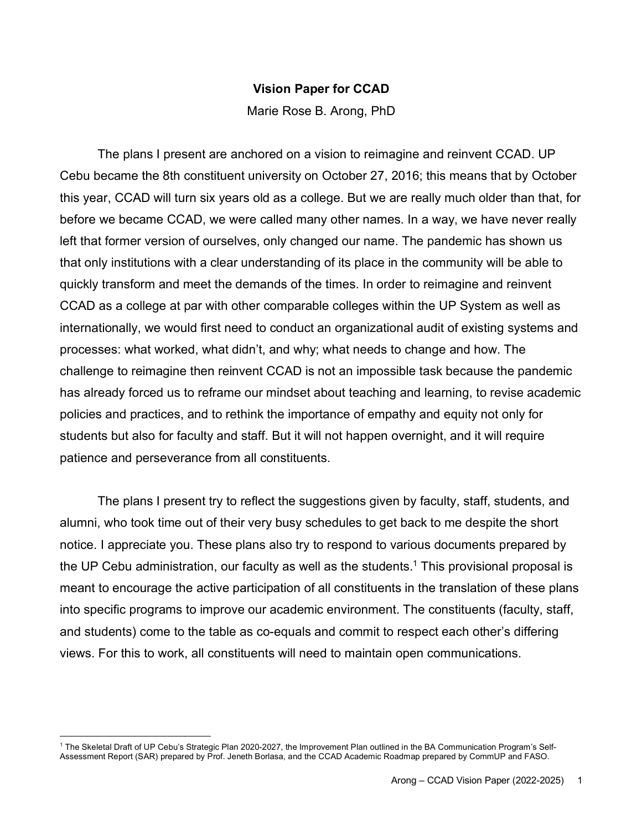## **Vision Paper for CCAD**

Marie Rose B. Arong, PhD

The plans I present are anchored on a vision to reimagine and reinvent CCAD. UP Cebu became the 8th constituent university on October 27, 2016; this means that by October this year, CCAD will turn six years old as a college. But we are really much older than that, for before we became CCAD, we were called many other names. In a way, we have never really left that former version of ourselves, only changed our name. The pandemic has shown us that only institutions with a clear understanding of its place in the community will be able to quickly transform and meet the demands of the times. In order to reimagine and reinvent CCAD as a college at par with other comparable colleges within the UP System as well as internationally, we would first need to conduct an organizational audit of existing systems and processes: what worked, what didn't, and why; what needs to change and how. The challenge to reimagine then reinvent CCAD is not an impossible task because the pandemic has already forced us to reframe our mindset about teaching and learning, to revise academic policies and practices, and to rethink the importance of empathy and equity not only for students but also for faculty and staff. But it will not happen overnight, and it will require patience and perseverance from all constituents.

The plans I present try to reflect the suggestions given by faculty, staff, students, and alumni, who took time out of their very busy schedules to get back to me despite the short notice. I appreciate you. These plans also try to respond to various documents prepared by the UP Cebu administration, our faculty as well as the students.<sup>1</sup> This provisional proposal is meant to encourage the active participation of all constituents in the translation of these plans into specific programs to improve our academic environment. The constituents (faculty, staff, and students) come to the table as co-equals and commit to respect each other's differing views. For this to work, all constituents will need to maintain open communications.

 $\overline{a}$ 

<sup>1</sup> The Skeletal Draft of UP Cebu's Strategic Plan 2020-2027, the Improvement Plan outlined in the BA Communication Program's Self-Assessment Report (SAR) prepared by Prof. Jeneth Borlasa, and the CCAD Academic Roadmap prepared by CommUP and FASO.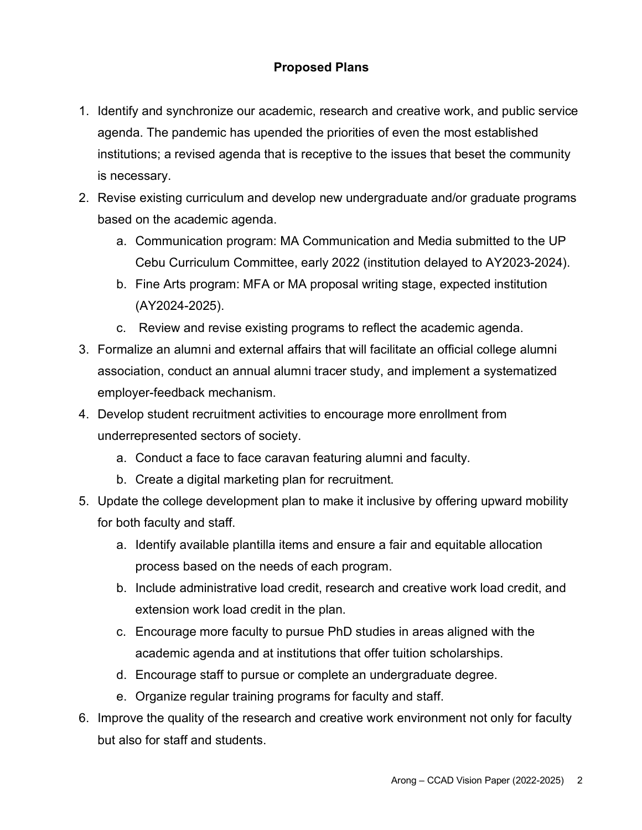## **Proposed Plans**

- 1. Identify and synchronize our academic, research and creative work, and public service agenda. The pandemic has upended the priorities of even the most established institutions; a revised agenda that is receptive to the issues that beset the community is necessary.
- 2. Revise existing curriculum and develop new undergraduate and/or graduate programs based on the academic agenda.
	- a. Communication program: MA Communication and Media submitted to the UP Cebu Curriculum Committee, early 2022 (institution delayed to AY2023-2024).
	- b. Fine Arts program: MFA or MA proposal writing stage, expected institution (AY2024-2025).
	- c. Review and revise existing programs to reflect the academic agenda.
- 3. Formalize an alumni and external affairs that will facilitate an official college alumni association, conduct an annual alumni tracer study, and implement a systematized employer-feedback mechanism.
- 4. Develop student recruitment activities to encourage more enrollment from underrepresented sectors of society.
	- a. Conduct a face to face caravan featuring alumni and faculty.
	- b. Create a digital marketing plan for recruitment.
- 5. Update the college development plan to make it inclusive by offering upward mobility for both faculty and staff.
	- a. Identify available plantilla items and ensure a fair and equitable allocation process based on the needs of each program.
	- b. Include administrative load credit, research and creative work load credit, and extension work load credit in the plan.
	- c. Encourage more faculty to pursue PhD studies in areas aligned with the academic agenda and at institutions that offer tuition scholarships.
	- d. Encourage staff to pursue or complete an undergraduate degree.
	- e. Organize regular training programs for faculty and staff.
- 6. Improve the quality of the research and creative work environment not only for faculty but also for staff and students.